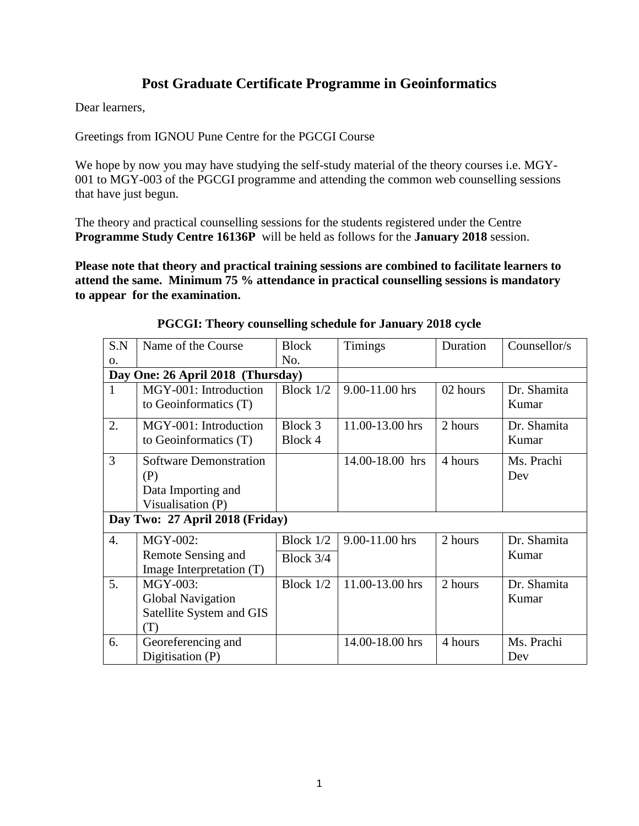# **Post Graduate Certificate Programme in Geoinformatics**

Dear learners,

Greetings from IGNOU Pune Centre for the PGCGI Course

We hope by now you may have studying the self-study material of the theory courses i.e. MGY-001 to MGY-003 of the PGCGI programme and attending the common web counselling sessions that have just begun.

The theory and practical counselling sessions for the students registered under the Centre **Programme Study Centre 16136P** will be held as follows for the **January 2018** session.

**Please note that theory and practical training sessions are combined to facilitate learners to attend the same. Minimum 75 % attendance in practical counselling sessions is mandatory to appear for the examination.** 

| S.N                               | Name of the Course                                                              | <b>Block</b>           | <b>Timings</b>  | Duration | Counsellor/s         |  |
|-----------------------------------|---------------------------------------------------------------------------------|------------------------|-----------------|----------|----------------------|--|
| 0.                                |                                                                                 | No.                    |                 |          |                      |  |
| Day One: 26 April 2018 (Thursday) |                                                                                 |                        |                 |          |                      |  |
| $\mathbf{1}$                      | MGY-001: Introduction<br>to Geoinformatics (T)                                  | Block $1/2$            | 9.00-11.00 hrs  | 02 hours | Dr. Shamita<br>Kumar |  |
| 2.                                | MGY-001: Introduction<br>to Geoinformatics (T)                                  | Block 3<br>Block 4     | 11.00-13.00 hrs | 2 hours  | Dr. Shamita<br>Kumar |  |
| 3                                 | <b>Software Demonstration</b><br>(P)<br>Data Importing and<br>Visualisation (P) |                        | 14.00-18.00 hrs | 4 hours  | Ms. Prachi<br>Dev    |  |
| Day Two: 27 April 2018 (Friday)   |                                                                                 |                        |                 |          |                      |  |
| 4.                                | <b>MGY-002:</b><br>Remote Sensing and<br>Image Interpretation (T)               | Block 1/2<br>Block 3/4 | 9.00-11.00 hrs  | 2 hours  | Dr. Shamita<br>Kumar |  |
| 5.                                | MGY-003:<br><b>Global Navigation</b><br>Satellite System and GIS<br>(T)         | Block $1/2$            | 11.00-13.00 hrs | 2 hours  | Dr. Shamita<br>Kumar |  |
| 6.                                | Georeferencing and<br>Digitisation (P)                                          |                        | 14.00-18.00 hrs | 4 hours  | Ms. Prachi<br>Dev    |  |

#### **PGCGI: Theory counselling schedule for January 2018 cycle**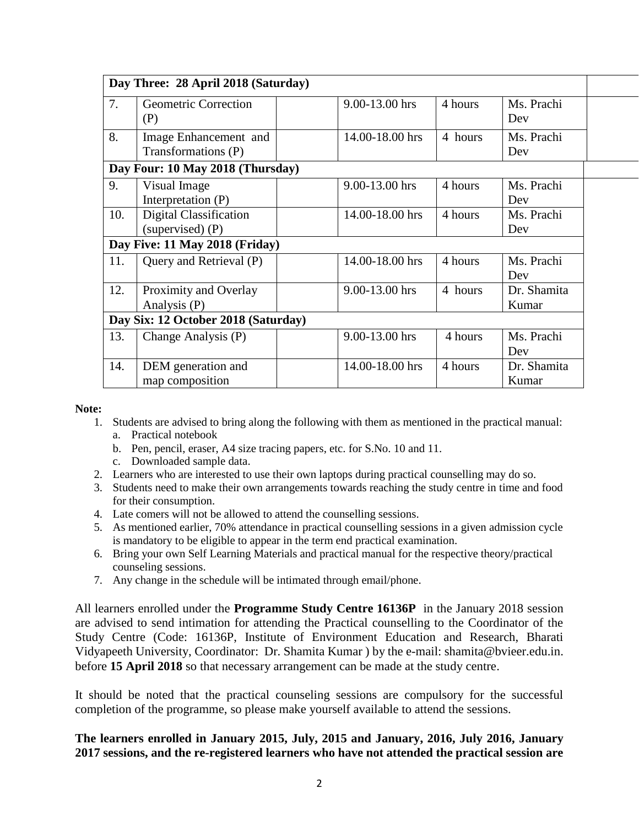|     | Day Three: 28 April 2018 (Saturday)          |                 |         |                      |
|-----|----------------------------------------------|-----------------|---------|----------------------|
| 7.  | Geometric Correction<br>(P)                  | 9.00-13.00 hrs  | 4 hours | Ms. Prachi<br>Dev    |
| 8.  | Image Enhancement and<br>Transformations (P) | 14.00-18.00 hrs | 4 hours | Ms. Prachi<br>Dev    |
|     | Day Four: 10 May 2018 (Thursday)             |                 |         |                      |
| 9.  | Visual Image<br>Interpretation (P)           | 9.00-13.00 hrs  | 4 hours | Ms. Prachi<br>Dev    |
| 10. | Digital Classification<br>(supervised) (P)   | 14.00-18.00 hrs | 4 hours | Ms. Prachi<br>Dev    |
|     | Day Five: 11 May 2018 (Friday)               |                 |         |                      |
| 11. | Query and Retrieval (P)                      | 14.00-18.00 hrs | 4 hours | Ms. Prachi<br>Dev    |
| 12. | Proximity and Overlay<br>Analysis (P)        | 9.00-13.00 hrs  | 4 hours | Dr. Shamita<br>Kumar |
|     | Day Six: 12 October 2018 (Saturday)          |                 |         |                      |
| 13. | Change Analysis (P)                          | 9.00-13.00 hrs  | 4 hours | Ms. Prachi<br>Dev    |
| 14. | DEM generation and<br>map composition        | 14.00-18.00 hrs | 4 hours | Dr. Shamita<br>Kumar |

**Note:**

- 1. Students are advised to bring along the following with them as mentioned in the practical manual: a. Practical notebook
	- b. Pen, pencil, eraser, A4 size tracing papers, etc. for S.No. 10 and 11.
	- c. Downloaded sample data.
- 2. Learners who are interested to use their own laptops during practical counselling may do so.
- 3. Students need to make their own arrangements towards reaching the study centre in time and food for their consumption.
- 4. Late comers will not be allowed to attend the counselling sessions.
- 5. As mentioned earlier, 70% attendance in practical counselling sessions in a given admission cycle is mandatory to be eligible to appear in the term end practical examination.
- 6. Bring your own Self Learning Materials and practical manual for the respective theory/practical counseling sessions.
- 7. Any change in the schedule will be intimated through email/phone.

All learners enrolled under the **Programme Study Centre 16136P** in the January 2018 session are advised to send intimation for attending the Practical counselling to the Coordinator of the Study Centre (Code: 16136P, Institute of Environment Education and Research, Bharati Vidyapeeth University, Coordinator: Dr. Shamita Kumar ) by the e-mail: shamita@bvieer.edu.in. before **15 April 2018** so that necessary arrangement can be made at the study centre.

It should be noted that the practical counseling sessions are compulsory for the successful completion of the programme, so please make yourself available to attend the sessions.

## **The learners enrolled in January 2015, July, 2015 and January, 2016, July 2016, January 2017 sessions, and the re-registered learners who have not attended the practical session are**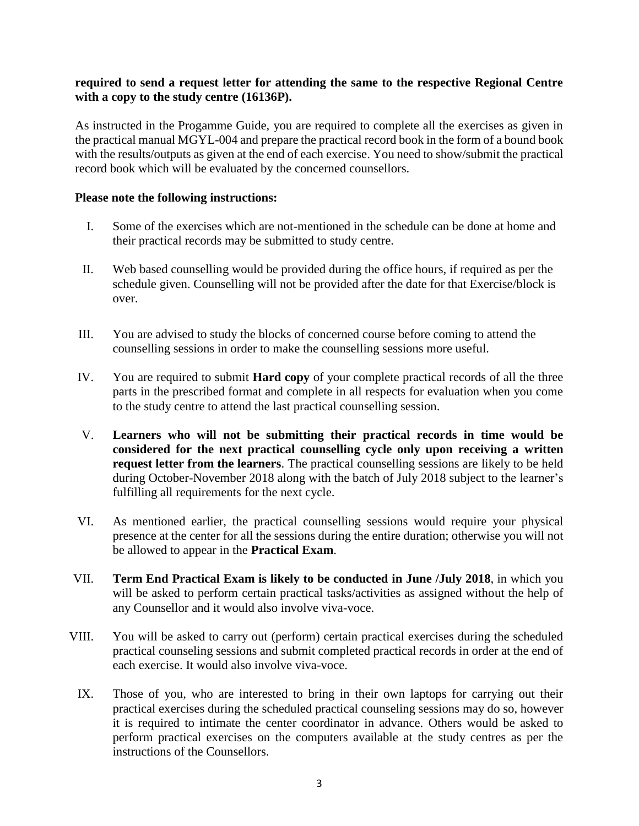### **required to send a request letter for attending the same to the respective Regional Centre with a copy to the study centre (16136P).**

As instructed in the Progamme Guide, you are required to complete all the exercises as given in the practical manual MGYL-004 and prepare the practical record book in the form of a bound book with the results/outputs as given at the end of each exercise. You need to show/submit the practical record book which will be evaluated by the concerned counsellors.

#### **Please note the following instructions:**

- I. Some of the exercises which are not-mentioned in the schedule can be done at home and their practical records may be submitted to study centre.
- II. Web based counselling would be provided during the office hours, if required as per the schedule given. Counselling will not be provided after the date for that Exercise/block is over.
- III. You are advised to study the blocks of concerned course before coming to attend the counselling sessions in order to make the counselling sessions more useful.
- IV. You are required to submit **Hard copy** of your complete practical records of all the three parts in the prescribed format and complete in all respects for evaluation when you come to the study centre to attend the last practical counselling session.
- V. **Learners who will not be submitting their practical records in time would be considered for the next practical counselling cycle only upon receiving a written request letter from the learners**. The practical counselling sessions are likely to be held during October-November 2018 along with the batch of July 2018 subject to the learner's fulfilling all requirements for the next cycle.
- VI. As mentioned earlier, the practical counselling sessions would require your physical presence at the center for all the sessions during the entire duration; otherwise you will not be allowed to appear in the **Practical Exam**.
- VII. **Term End Practical Exam is likely to be conducted in June /July 2018**, in which you will be asked to perform certain practical tasks/activities as assigned without the help of any Counsellor and it would also involve viva-voce.
- VIII. You will be asked to carry out (perform) certain practical exercises during the scheduled practical counseling sessions and submit completed practical records in order at the end of each exercise. It would also involve viva-voce.
	- IX. Those of you, who are interested to bring in their own laptops for carrying out their practical exercises during the scheduled practical counseling sessions may do so, however it is required to intimate the center coordinator in advance. Others would be asked to perform practical exercises on the computers available at the study centres as per the instructions of the Counsellors.